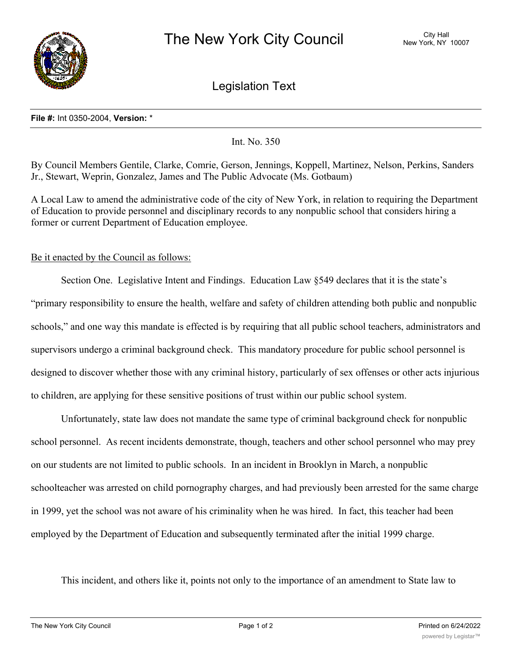

Legislation Text

## **File #:** Int 0350-2004, **Version:** \*

Int. No. 350

By Council Members Gentile, Clarke, Comrie, Gerson, Jennings, Koppell, Martinez, Nelson, Perkins, Sanders Jr., Stewart, Weprin, Gonzalez, James and The Public Advocate (Ms. Gotbaum)

A Local Law to amend the administrative code of the city of New York, in relation to requiring the Department of Education to provide personnel and disciplinary records to any nonpublic school that considers hiring a former or current Department of Education employee.

## Be it enacted by the Council as follows:

Section One. Legislative Intent and Findings. Education Law §549 declares that it is the state's "primary responsibility to ensure the health, welfare and safety of children attending both public and nonpublic schools," and one way this mandate is effected is by requiring that all public school teachers, administrators and supervisors undergo a criminal background check. This mandatory procedure for public school personnel is designed to discover whether those with any criminal history, particularly of sex offenses or other acts injurious to children, are applying for these sensitive positions of trust within our public school system.

Unfortunately, state law does not mandate the same type of criminal background check for nonpublic school personnel. As recent incidents demonstrate, though, teachers and other school personnel who may prey on our students are not limited to public schools. In an incident in Brooklyn in March, a nonpublic schoolteacher was arrested on child pornography charges, and had previously been arrested for the same charge in 1999, yet the school was not aware of his criminality when he was hired. In fact, this teacher had been employed by the Department of Education and subsequently terminated after the initial 1999 charge.

This incident, and others like it, points not only to the importance of an amendment to State law to